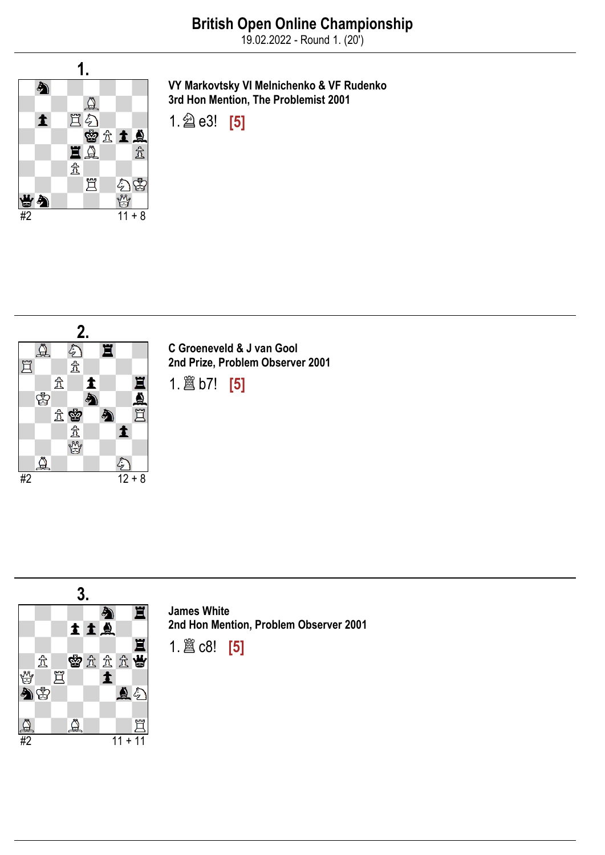19.02.2022 - Round 1. (20')



VY Markovtsky VI Melnichenko & VF Rudenko 3rd Hon Mention, The Problemist 2001





C Groeneveld & J van Gool 2nd Prize, Problem Observer 2001

1.♖b7! [5]



James White 2nd Hon Mention, Problem Observer 2001

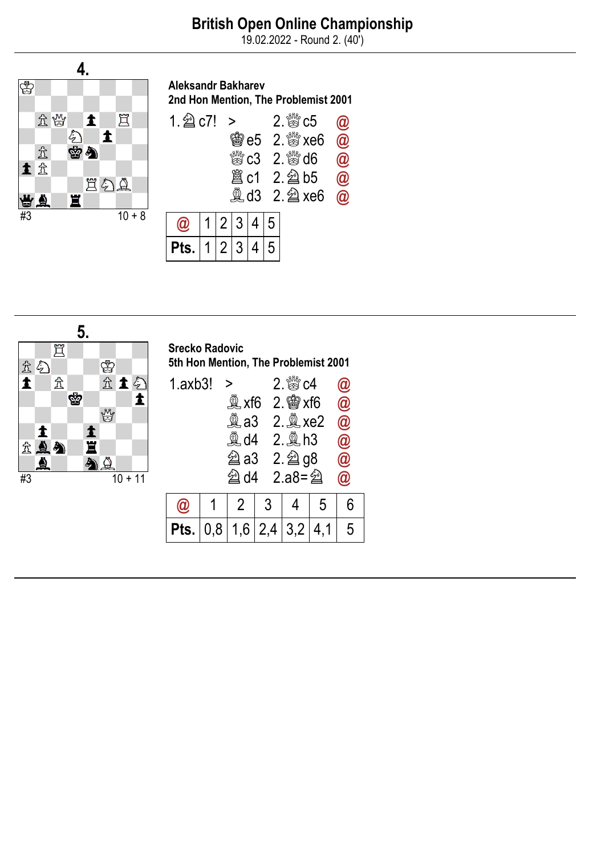19.02.2022 - Round 2. (40')



#### Aleksandr Bakharev 2nd Hon Mention, The Problemist 2001



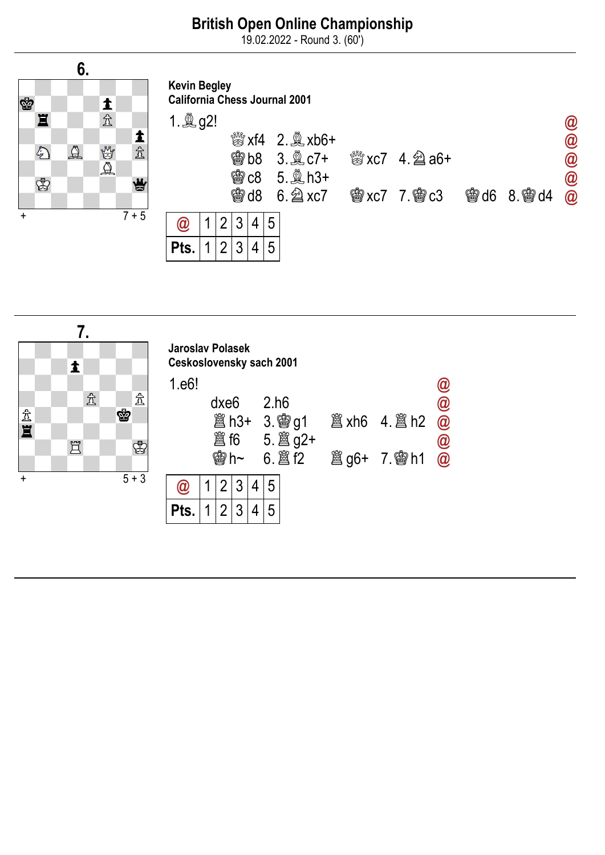19.02.2022 - Round 3. (60')



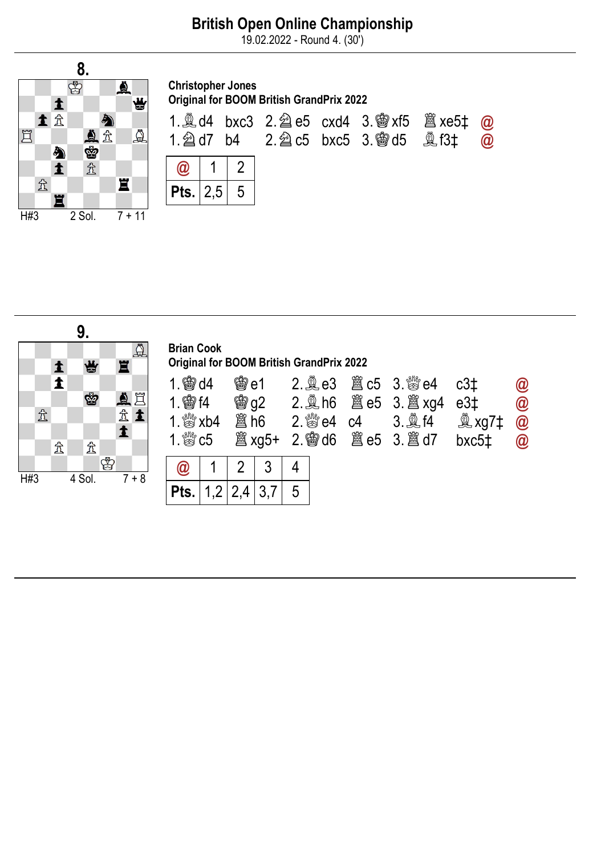19.02.2022 - Round 4. (30')



| <b>Christopher Jones</b><br><b>Original for BOOM British GrandPrix 2022</b>                                                                                  |                 |  |  |  |  |  |          |  |  |  |  |  |
|--------------------------------------------------------------------------------------------------------------------------------------------------------------|-----------------|--|--|--|--|--|----------|--|--|--|--|--|
| 1. $\trianglelefteq$ d4 bxc3 2. $\trianglelefteq$ e5 cxd4 3. $\trianglelefteq$ xf5 $\trianglelefteq$ xe5 $\ddagger$<br>1. 2d7 b4 2. 2d c5 bxc5 3. 鬱 d5 奠 f3± |                 |  |  |  |  |  | $\omega$ |  |  |  |  |  |
|                                                                                                                                                              | $\vert 1 \vert$ |  |  |  |  |  |          |  |  |  |  |  |
| <b>Pts.</b> $ 2,5 $ 5                                                                                                                                        |                 |  |  |  |  |  |          |  |  |  |  |  |



| <b>Brian Cook</b><br><b>Original for BOOM British GrandPrix 2022</b>                            |  |                         |  |                             |  |  |                               |                                                              |                                                                        |  |  |  |  |  |
|-------------------------------------------------------------------------------------------------|--|-------------------------|--|-----------------------------|--|--|-------------------------------|--------------------------------------------------------------|------------------------------------------------------------------------|--|--|--|--|--|
| <b>会d4</b><br>$1$ 窗 $14$<br>1. $\mathbb{S}^{\mathbb{N}}$ xb4<br>1. $\mathbb{S}^{\mathbb{N}}$ c5 |  | 会 $e1$<br><b>闔 xg5+</b> |  | $2.$ $\frac{800}{60}$ e4 c4 |  |  | <b>彎g2</b> 2. 鼻h6 簋e5 3. 簋xg4 | c3 <sub>1</sub><br>e3‡<br><b>奠 xg7‡</b><br>bxc5 <sub>‡</sub> | $\bm{a}$<br>$\circledR$<br>$\overline{\omega}$<br>$^{\textregistered}$ |  |  |  |  |  |
|                                                                                                 |  | 2                       |  |                             |  |  |                               |                                                              |                                                                        |  |  |  |  |  |
| Pts.                                                                                            |  |                         |  |                             |  |  |                               |                                                              |                                                                        |  |  |  |  |  |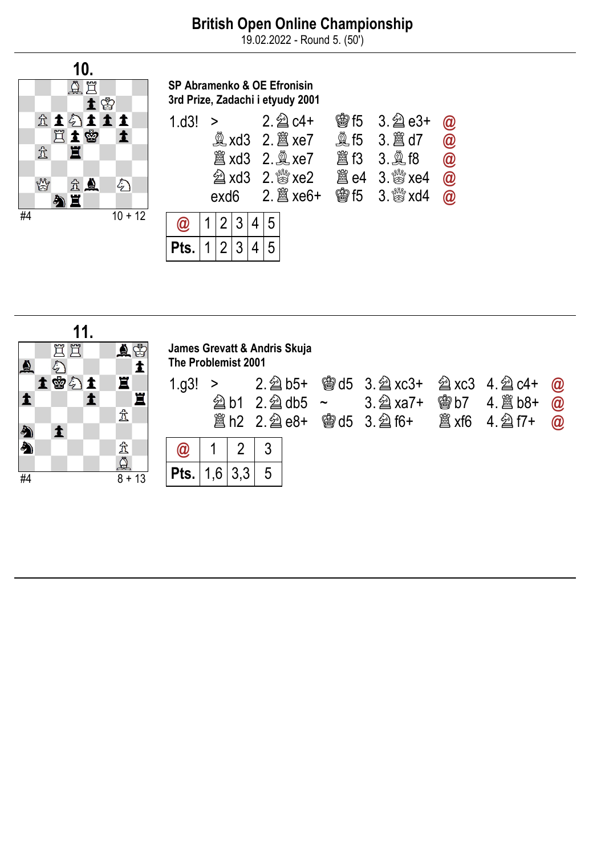19.02.2022 - Round 5. (50')



SP Abramenko & OE Efronisin 3rd Prize, Zadachi i etyudy 2001